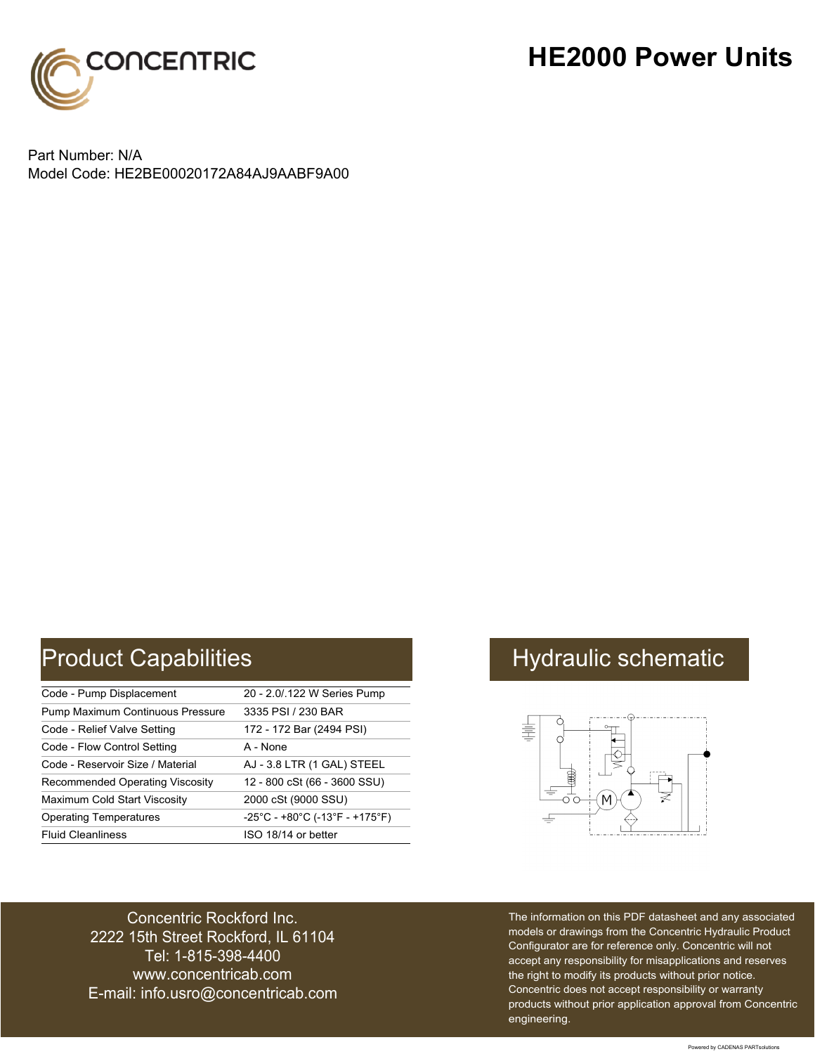

## **HE2000 Power Units**

Part Number: N/A Model Code: HE2BE00020172A84AJ9AABF9A00

# Product Capabilities **Hydraulic schematic** Hydraulic schematic

| Code - Pump Displacement               | 20 - 2.0/.122 W Series Pump                                               |
|----------------------------------------|---------------------------------------------------------------------------|
| Pump Maximum Continuous Pressure       | 3335 PSI / 230 BAR                                                        |
| Code - Relief Valve Setting            | 172 - 172 Bar (2494 PSI)                                                  |
| Code - Flow Control Setting            | A - None                                                                  |
| Code - Reservoir Size / Material       | AJ - 3.8 LTR (1 GAL) STEEL                                                |
| <b>Recommended Operating Viscosity</b> | 12 - 800 cSt (66 - 3600 SSU)                                              |
| Maximum Cold Start Viscosity           | 2000 cSt (9000 SSU)                                                       |
| <b>Operating Temperatures</b>          | $-25^{\circ}$ C - +80 $^{\circ}$ C (-13 $^{\circ}$ F - +175 $^{\circ}$ F) |
| <b>Fluid Cleanliness</b>               | ISO 18/14 or better                                                       |



Concentric Rockford Inc. 2222 15th Street Rockford, IL 61104 Tel: 1-815-398-4400 [www.concentricab.com](www.concentrichydraulics.com) E-mail: [info.usro@concentrica](mailto://info.usro@concentricab.com)b.com The information on this PDF datasheet and any associated models or drawings from the Concentric Hydraulic Product Configurator are for reference only. Concentric will not accept any responsibility for misapplications and reserves the right to modify its products without prior notice. Concentric does not accept responsibility or warranty products without prior application approval from Concentric engineering.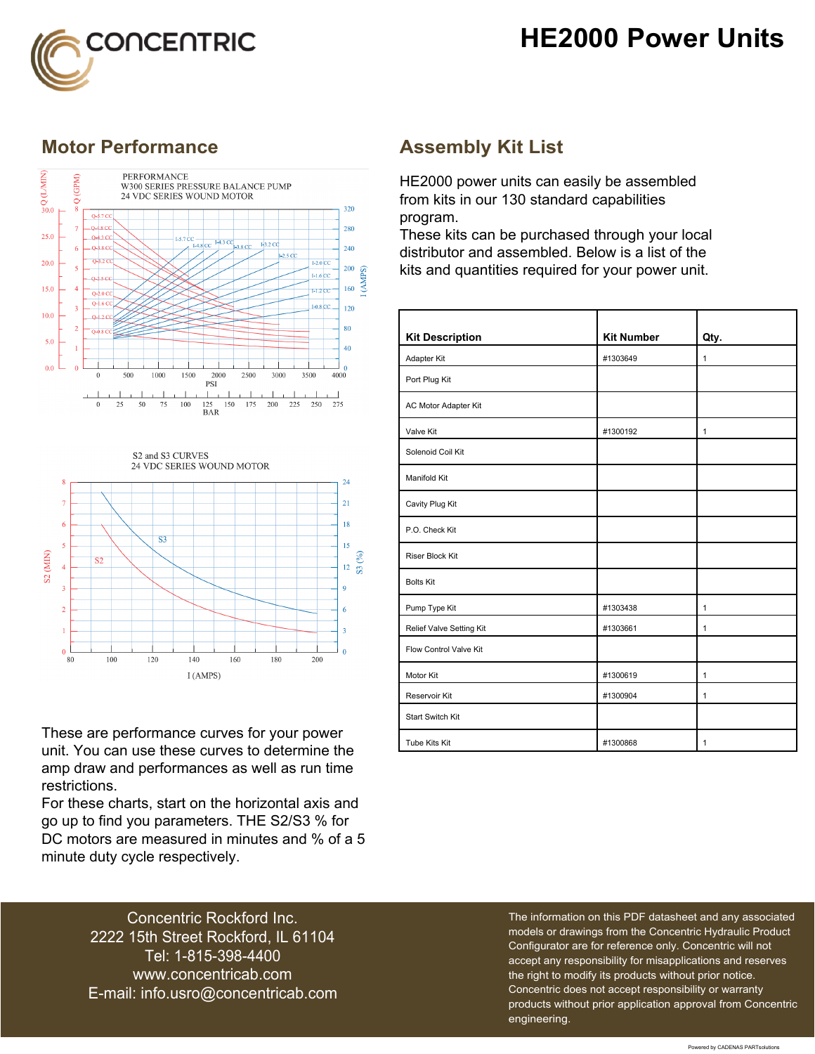



### **Motor Performance Assembly Kit List**





These are performance curves for your power unit. You can use these curves to determine the amp draw and performances as well as run time restrictions.

For these charts, start on the horizontal axis and go up to find you parameters. THE S2/S3 % for DC motors are measured in minutes and % of a 5 minute duty cycle respectively.

HE2000 power units can easily be assembled from kits in our 130 standard capabilities program.

These kits can be purchased through your local distributor and assembled. Below is a list of the kits and quantities required for your power unit.

| <b>Kit Description</b>   | <b>Kit Number</b> | Qty.         |
|--------------------------|-------------------|--------------|
| Adapter Kit              | #1303649          | $\mathbf{1}$ |
| Port Plug Kit            |                   |              |
| AC Motor Adapter Kit     |                   |              |
| Valve Kit                | #1300192          | $\mathbf{1}$ |
| Solenoid Coil Kit        |                   |              |
| Manifold Kit             |                   |              |
| Cavity Plug Kit          |                   |              |
| P.O. Check Kit           |                   |              |
| <b>Riser Block Kit</b>   |                   |              |
| <b>Bolts Kit</b>         |                   |              |
| Pump Type Kit            | #1303438          | $\mathbf{1}$ |
| Relief Valve Setting Kit | #1303661          | 1            |
| Flow Control Valve Kit   |                   |              |
| Motor Kit                | #1300619          | $\mathbf{1}$ |
| Reservoir Kit            | #1300904          | $\mathbf{1}$ |
| <b>Start Switch Kit</b>  |                   |              |
| Tube Kits Kit            | #1300868          | 1            |

Concentric Rockford Inc. 2222 15th Street Rockford, IL 61104 Tel: 1-815-398-4400 [www.concentricab.com](www.concentrichydraulics.com) E-mail: [info.usro@concentrica](mailto://info.usro@concentricab.com)b.com The information on this PDF datasheet and any associated models or drawings from the Concentric Hydraulic Product Configurator are for reference only. Concentric will not accept any responsibility for misapplications and reserves the right to modify its products without prior notice. Concentric does not accept responsibility or warranty products without prior application approval from Concentric engineering.